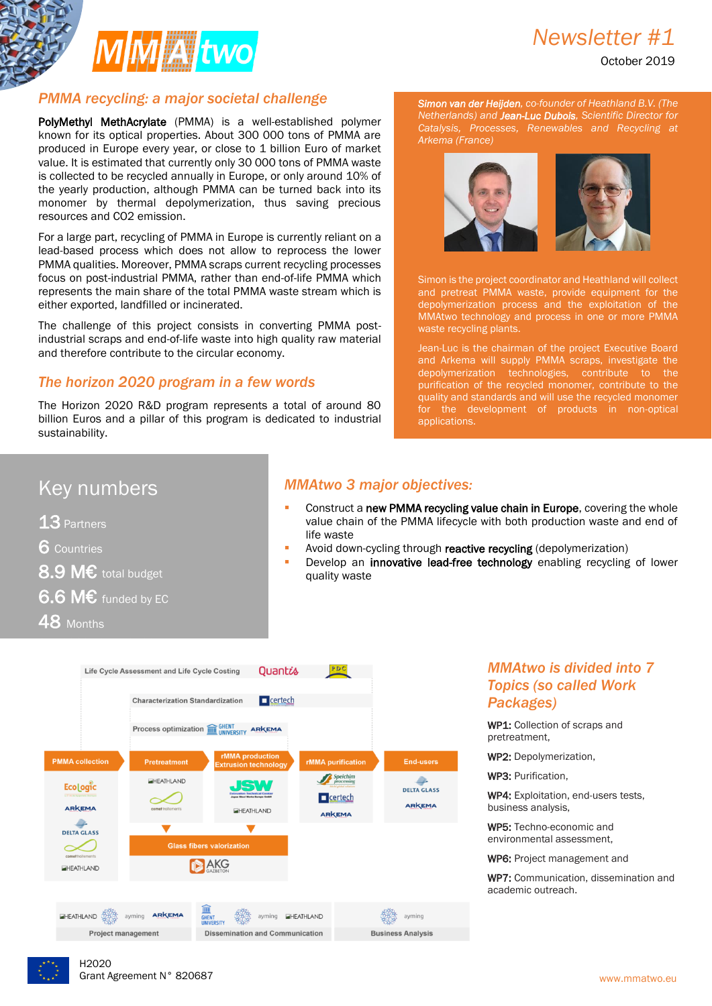

# *Newsletter #1*

October 2019

### *PMMA recycling: a major societal challenge*

PolyMethyl MethAcrylate (PMMA) is a well-established polymer known for its optical properties. About 300 000 tons of PMMA are produced in Europe every year, or close to 1 billion Euro of market value. It is estimated that currently only 30 000 tons of PMMA waste is collected to be recycled annually in Europe, or only around 10% of the yearly production, although PMMA can be turned back into its monomer by thermal depolymerization, thus saving precious resources and CO2 emission.

For a large part, recycling of PMMA in Europe is currently reliant on a lead-based process which does not allow to reprocess the lower PMMA qualities. Moreover, PMMA scraps current recycling processes focus on post-industrial PMMA, rather than end-of-life PMMA which represents the main share of the total PMMA waste stream which is either exported, landfilled or incinerated.

The challenge of this project consists in converting PMMA postindustrial scraps and end-of-life waste into high quality raw material and therefore contribute to the circular economy.

### *The horizon 2020 program in a few words*

The Horizon 2020 R&D program represents a total of around 80 billion Euros and a pillar of this program is dedicated to industrial sustainability.

*Simon van der Heijden, co-founder of Heathland B.V. (The Netherlands) and Jean-Luc Dubois, Scientific Director for Catalysis, Processes, Renewables and Recycling at Arkema (France)*



Simon is the project coordinator and Heathland will collect and pretreat PMMA waste, provide equipment for the depolymerization process and the exploitation of the MMAtwo technology and process in one or more PMMA waste recycling plants.

Jean-Luc is the chairman of the project Executive Board and Arkema will supply PMMA scraps, investigate the depolymerization technologies, contribute to the purification of the recycled monomer, contribute to the quality and standards and will use the recycled monomer for the development of products in non-optical applications.

# Key numbers

13 Partners

6 Countries

8.9 M€ total budget

6.6 M $\epsilon$  funded by EC

### 48 Months

### *MMAtwo 3 major objectives:*

- Construct a new PMMA recycling value chain in Europe, covering the whole value chain of the PMMA lifecycle with both production waste and end of life waste
- Avoid down-cycling through reactive recycling (depolymerization)
- Develop an innovative lead-free technology enabling recycling of lower quality waste



### *MMAtwo is divided into 7 Topics (so called Work Packages)*

WP1: Collection of scraps and pretreatment,

WP2: Depolymerization,

WP3: Purification,

WP4: Exploitation, end-users tests, business analysis,

WP5: Techno-economic and environmental assessment,

WP6: Project management and

WP7: Communication, dissemination and academic outreach.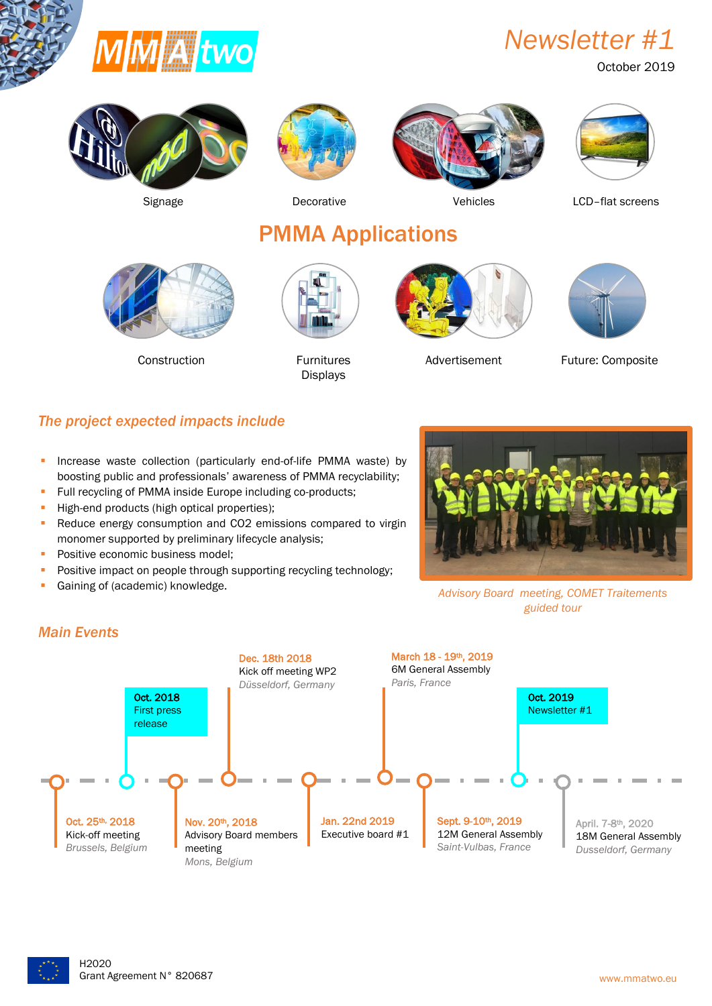

*Newsletter #1*

October 2019









Signage Decorative Decorative Vehicles LCD-flat screens

PMMA Applications



Construction **Furnitures** 



Displays





Advertisement Future: Composite

### *The project expected impacts include*

- **Increase waste collection (particularly end-of-life PMMA waste) by** boosting public and professionals' awareness of PMMA recyclability;
- Full recycling of PMMA inside Europe including co-products;
- High-end products (high optical properties);
- Reduce energy consumption and CO2 emissions compared to virgin monomer supported by preliminary lifecycle analysis;
- **Positive economic business model;**
- Positive impact on people through supporting recycling technology;
- **Gaining of (academic) knowledge.**



*Advisory Board meeting, COMET Traitements guided tour*



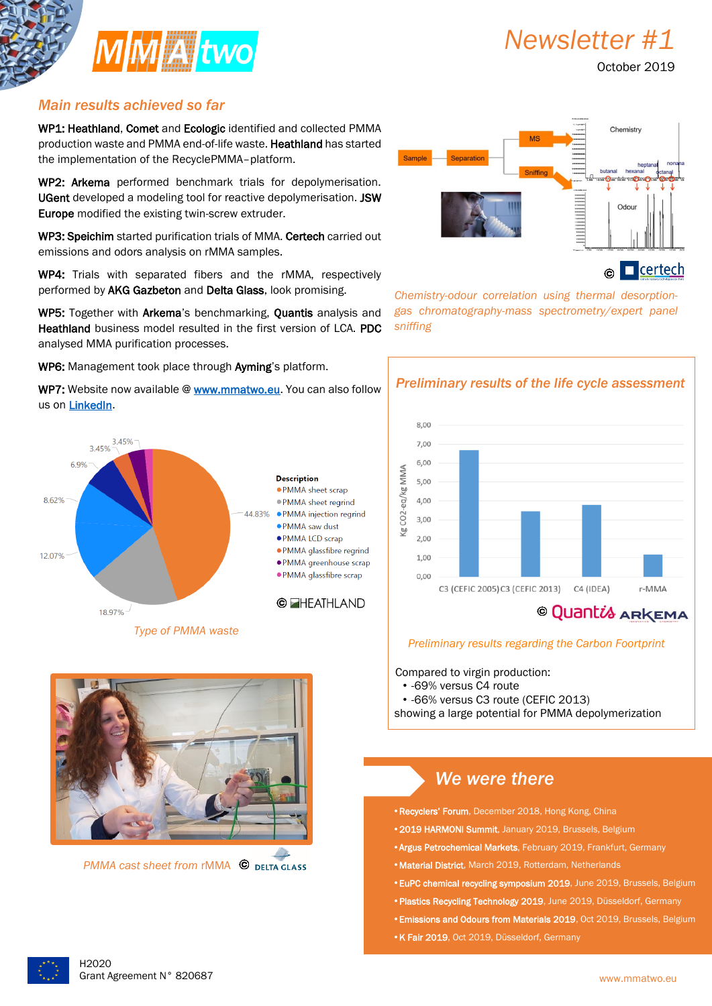

*Newsletter #1*

October 2019

### *Main results achieved so far*

WP1: Heathland, Comet and Ecologic identified and collected PMMA production waste and PMMA end-of-life waste. Heathland has started the implementation of the RecyclePMMA–platform.

WP2: Arkema performed benchmark trials for depolymerisation. UGent developed a modeling tool for reactive depolymerisation. JSW Europe modified the existing twin-screw extruder.

WP3: Speichim started purification trials of MMA. Certech carried out emissions and odors analysis on rMMA samples.

WP4: Trials with separated fibers and the rMMA, respectively performed by AKG Gazbeton and Delta Glass, look promising.

WP5: Together with Arkema's benchmarking, Quantis analysis and Heathland business model resulted in the first version of LCA. PDC analysed MMA purification processes.

WP6: Management took place through Ayming's platform.







*PMMA cast sheet from <b>rMMA*  $\bullet$  **DELTA GLASS** 



*Chemistry-odour correlation using thermal desorptiongas chromatography-mass spectrometry/expert panel sniffing*



#### *Preliminary results regarding the Carbon Foortprint*

Compared to virgin production:

ī

- -69% versus C4 route
- -66% versus C3 route (CEFIC 2013)

showing a large potential for PMMA depolymerization

### *We were there*

•Recyclers' Forum, December 2018, Hong Kong, China

- •2019 HARMONI Summit, January 2019, Brussels, Belgium
- •Argus Petrochemical Markets, February 2019, Frankfurt, Germany
- •Material District, March 2019, Rotterdam, Netherlands
- •EuPC chemical recycling symposium 2019, June 2019, Brussels, Belgium
- Plastics Recycling Technology 2019, June 2019, Düsseldorf, Germany
- •Emissions and Odours from Materials 2019, Oct 2019, Brussels, Belgium
- •K Fair 2019, Oct 2019, Düsseldorf, Germany